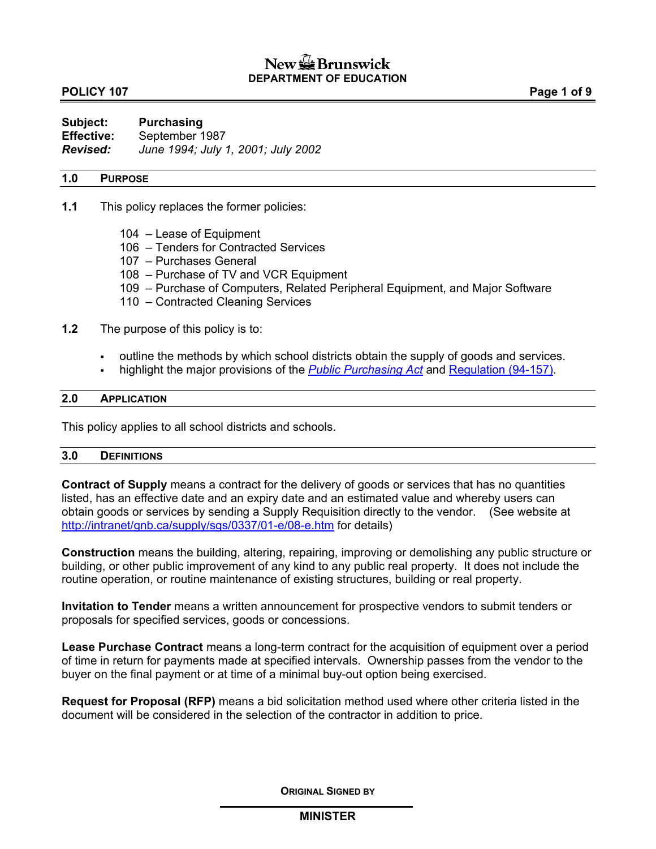## **POLICY 107** POLICY 107

**Subject: Purchasing Effective:** September 1987 *Revised: June 1994; July 1, 2001; July 2002* 

#### **1.0 PURPOSE**

- **1.1** This policy replaces the former policies:
	- 104 Lease of Equipment
	- 106 Tenders for Contracted Services
	- 107 Purchases General
	- 108 Purchase of TV and VCR Equipment
	- 109 Purchase of Computers, Related Peripheral Equipment, and Major Software
	- 110 Contracted Cleaning Services
- **1.2** The purpose of this policy is to:
	- outline the methods by which school districts obtain the supply of goods and services.
	- highlight the major provisions of the *[Public Purchasing Act](http://www.gnb.ca/justice/asrlste.htm)* and [Regulation \(94-157\)](http://www.gnb.ca/justice/asrlste.htm).

#### **2.0 APPLICATION**

This policy applies to all school districts and schools.

#### **3.0 DEFINITIONS**

**Contract of Supply** means a contract for the delivery of goods or services that has no quantities listed, has an effective date and an expiry date and an estimated value and whereby users can obtain goods or services by sending a Supply Requisition directly to the vendor. (See website at [http://intranet/gnb.ca/supply/sgs/0337/01-e/08-e.htm](http://intranet/supply/sgs/0337/01-e/08-e.htm) for details)

**Construction** means the building, altering, repairing, improving or demolishing any public structure or building, or other public improvement of any kind to any public real property. It does not include the routine operation, or routine maintenance of existing structures, building or real property.

**Invitation to Tender** means a written announcement for prospective vendors to submit tenders or proposals for specified services, goods or concessions.

**Lease Purchase Contract** means a long-term contract for the acquisition of equipment over a period of time in return for payments made at specified intervals. Ownership passes from the vendor to the buyer on the final payment or at time of a minimal buy-out option being exercised.

**Request for Proposal (RFP)** means a bid solicitation method used where other criteria listed in the document will be considered in the selection of the contractor in addition to price.

**ORIGINAL SIGNED BY**

### **MINISTER**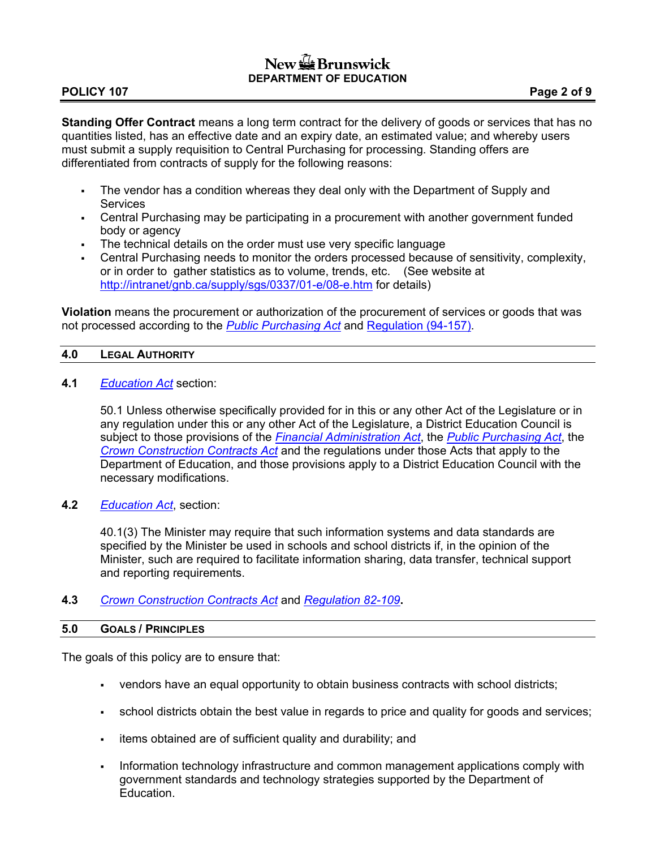# **POLICY 107** POLICY 107

**Standing Offer Contract** means a long term contract for the delivery of goods or services that has no quantities listed, has an effective date and an expiry date, an estimated value; and whereby users must submit a supply requisition to Central Purchasing for processing. Standing offers are differentiated from contracts of supply for the following reasons:

- The vendor has a condition whereas they deal only with the Department of Supply and Services
- Central Purchasing may be participating in a procurement with another government funded body or agency
- The technical details on the order must use very specific language
- Central Purchasing needs to monitor the orders processed because of sensitivity, complexity, or in order to gather statistics as to volume, trends, etc. (See website at [http://intranet/gnb.ca/supply/sgs/0337/01-e/08-e.htm](http://intranet/supply/sgs/0337/01-e/08-e.htm) for details)

**Violation** means the procurement or authorization of the procurement of services or goods that was not processed according to the *[Public Purchasing Act](http://www.gnb.ca/justice/asrlste.htm)* and [Regulation \(94-157\).](http://www.gnb.ca/justice/asrlste.htm)

## **4.0 LEGAL AUTHORITY**

**4.1** *[Education Act](http://www.gnb.ca/justice/asrlste.htm)* section:

50.1 Unless otherwise specifically provided for in this or any other Act of the Legislature or in any regulation under this or any other Act of the Legislature, a District Education Council is subject to those provisions of the *[Financial Administration Act](http://www.gnb.ca/justice/asrlste.htm)*, the *[Public Purchasing Act](http://www.gnb.ca/justice/asrlste.htm)*, the *[Crown Construction Contracts Act](http://www.gnb.ca/justice/asrlste.htm)* and the regulations under those Acts that apply to the Department of Education, and those provisions apply to a District Education Council with the necessary modifications.

**4.2** *[Education Act](http://www.gnb.ca/justice/asrlste.htm)*, section:

40.1(3) The Minister may require that such information systems and data standards are specified by the Minister be used in schools and school districts if, in the opinion of the Minister, such are required to facilitate information sharing, data transfer, technical support and reporting requirements.

## **4.3** *[Crown Construction Contracts Act](http://www.gnb.ca/justice/asrlste.htm)* and *[Regulation 82-109](http://www.gnb.ca/justice/asrlste.htm)***.**

### **5.0 GOALS / PRINCIPLES**

The goals of this policy are to ensure that:

- vendors have an equal opportunity to obtain business contracts with school districts;
- school districts obtain the best value in regards to price and quality for goods and services;
- items obtained are of sufficient quality and durability; and
- Information technology infrastructure and common management applications comply with government standards and technology strategies supported by the Department of Education.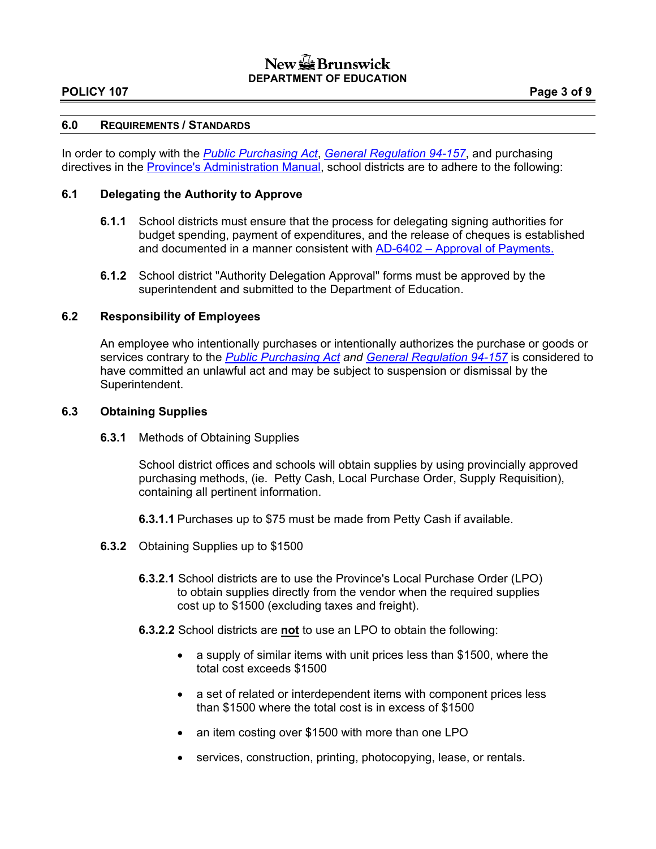### **POLICY 107** POLICY 107

#### **6.0 REQUIREMENTS / STANDARDS**

In order to comply with the *[Public Purchasing Act](http://www.gnb.ca/justice/asrlste.htm)*, *[General Regulation 94-157](http://www.gnb.ca/justice/asrlste.htm)*, and purchasing directives in the [Province's Administration Manual](http://intranet.gnb.ca/intellinet/adminman/), school districts are to adhere to the following:

# **6.1 Delegating the Authority to Approve**

- **6.1.1** School districts must ensure that the process for delegating signing authorities for budget spending, payment of expenditures, and the release of cheques is established and documented in a manner consistent with [AD-6402 – Approval of Payments.](http://intranet.gnb.ca/intellinet/adminman/)
- **6.1.2** School district "Authority Delegation Approval" forms must be approved by the superintendent and submitted to the Department of Education.

#### **6.2 Responsibility of Employees**

An employee who intentionally purchases or intentionally authorizes the purchase or goods or services contrary to the *[Public Purchasing Act](http://www.gnb.ca/justice/asrlste.htm) and [General Regulation 94-157](http://www.gnb.ca/justice/asrlste.htm)* is considered to have committed an unlawful act and may be subject to suspension or dismissal by the Superintendent.

#### **6.3 Obtaining Supplies**

**6.3.1** Methods of Obtaining Supplies

School district offices and schools will obtain supplies by using provincially approved purchasing methods, (ie. Petty Cash, Local Purchase Order, Supply Requisition), containing all pertinent information.

- **6.3.1.1** Purchases up to \$75 must be made from Petty Cash if available.
- **6.3.2** Obtaining Supplies up to \$1500
	- **6.3.2.1** School districts are to use the Province's Local Purchase Order (LPO) to obtain supplies directly from the vendor when the required supplies cost up to \$1500 (excluding taxes and freight).
	- **6.3.2.2** School districts are **not** to use an LPO to obtain the following:
		- a supply of similar items with unit prices less than \$1500, where the total cost exceeds \$1500
		- a set of related or interdependent items with component prices less than \$1500 where the total cost is in excess of \$1500
		- an item costing over \$1500 with more than one LPO
		- services, construction, printing, photocopying, lease, or rentals.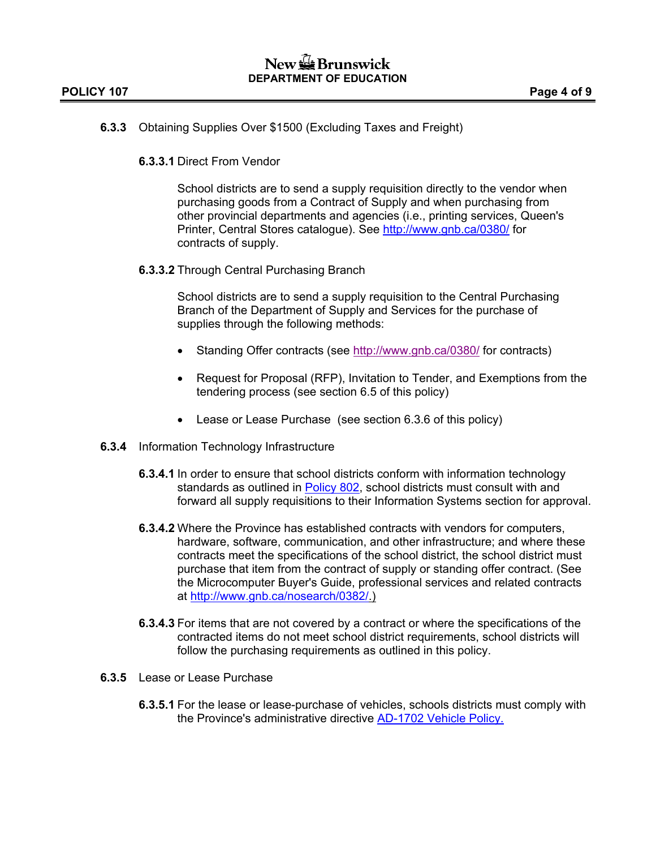## **6.3.3** Obtaining Supplies Over \$1500 (Excluding Taxes and Freight)

**6.3.3.1** Direct From Vendor

School districts are to send a supply requisition directly to the vendor when purchasing goods from a Contract of Supply and when purchasing from other provincial departments and agencies (i.e., printing services, Queen's Printer, Central Stores catalogue). See <http://www.gnb.ca/0380/>for contracts of supply.

**6.3.3.2** Through Central Purchasing Branch

School districts are to send a supply requisition to the Central Purchasing Branch of the Department of Supply and Services for the purchase of supplies through the following methods:

- Standing Offer contracts (see http://www.gnb.ca/0380/ for contracts)
- Request for Proposal (RFP), Invitation to Tender, and Exemptions from the tendering process (see section 6.5 of this policy)
- Lease or Lease Purchase (see section 6.3.6 of this policy)
- **6.3.4** Information Technology Infrastructure
	- **6.3.4.1** In order to ensure that school districts conform with information technology standards as outlined in **Policy 802**, school districts must consult with and forward all supply requisitions to their Information Systems section for approval.
	- **6.3.4.2** Where the Province has established contracts with vendors for computers, hardware, software, communication, and other infrastructure; and where these contracts meet the specifications of the school district, the school district must purchase that item from the contract of supply or standing offer contract. (See the Microcomputer Buyer's Guide, professional services and related contracts at <http://www.gnb.ca/nosearch/0382/>.)
	- **6.3.4.3** For items that are not covered by a contract or where the specifications of the contracted items do not meet school district requirements, school districts will follow the purchasing requirements as outlined in this policy.
- **6.3.5** Lease or Lease Purchase
	- **6.3.5.1** For the lease or lease-purchase of vehicles, schools districts must comply with the Province's administrative directive [AD-1702](http://intranet.gnb.ca/intellinet/adminman/) Vehicle Policy.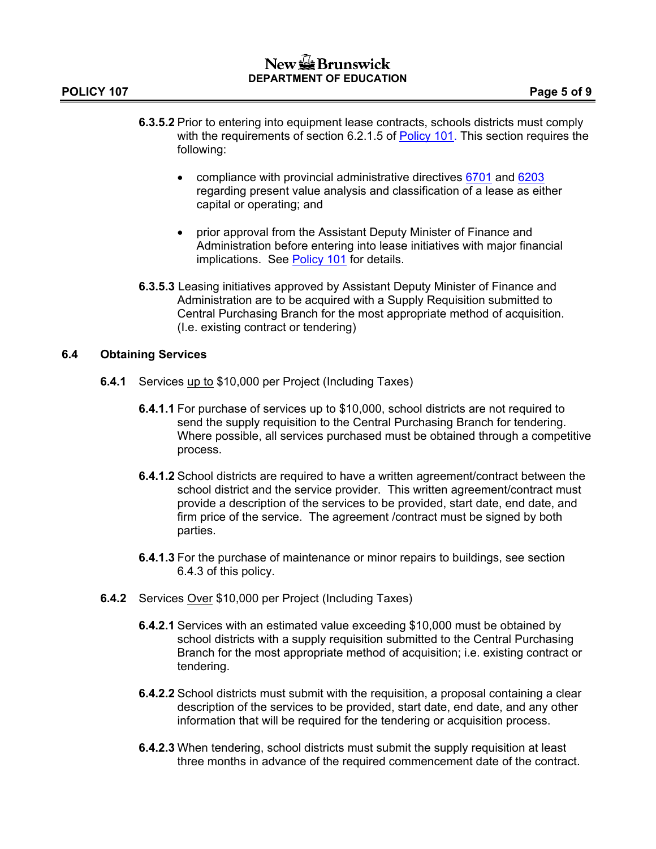- **6.3.5.2** Prior to entering into equipment lease contracts, schools districts must comply with the requirements of section 6.2.1.5 of [Policy](101A.pdf) 101. This section requires the following:
	- compliance with provincial administrative directives [6701](http://intranet.gnb.ca/intellinet/adminman/) and [6203](http://intranet.gnb.ca/intellinet/adminman/) regarding present value analysis and classification of a lease as either capital or operating; and
	- prior approval from the Assistant Deputy Minister of Finance and Administration before entering into lease initiatives with major financial implications. See [Policy 101](101A.pdf) for details.
- **6.3.5.3** Leasing initiatives approved by Assistant Deputy Minister of Finance and Administration are to be acquired with a Supply Requisition submitted to Central Purchasing Branch for the most appropriate method of acquisition. (I.e. existing contract or tendering)

### **6.4 Obtaining Services**

- **6.4.1** Services up to \$10,000 per Project (Including Taxes)
	- **6.4.1.1** For purchase of services up to \$10,000, school districts are not required to send the supply requisition to the Central Purchasing Branch for tendering. Where possible, all services purchased must be obtained through a competitive process.
	- **6.4.1.2** School districts are required to have a written agreement/contract between the school district and the service provider. This written agreement/contract must provide a description of the services to be provided, start date, end date, and firm price of the service. The agreement /contract must be signed by both parties.
	- **6.4.1.3** For the purchase of maintenance or minor repairs to buildings, see section 6.4.3 of this policy.
- **6.4.2** Services Over \$10,000 per Project (Including Taxes)
	- **6.4.2.1** Services with an estimated value exceeding \$10,000 must be obtained by school districts with a supply requisition submitted to the Central Purchasing Branch for the most appropriate method of acquisition; i.e. existing contract or tendering.
	- **6.4.2.2** School districts must submit with the requisition, a proposal containing a clear description of the services to be provided, start date, end date, and any other information that will be required for the tendering or acquisition process.
	- **6.4.2.3** When tendering, school districts must submit the supply requisition at least three months in advance of the required commencement date of the contract.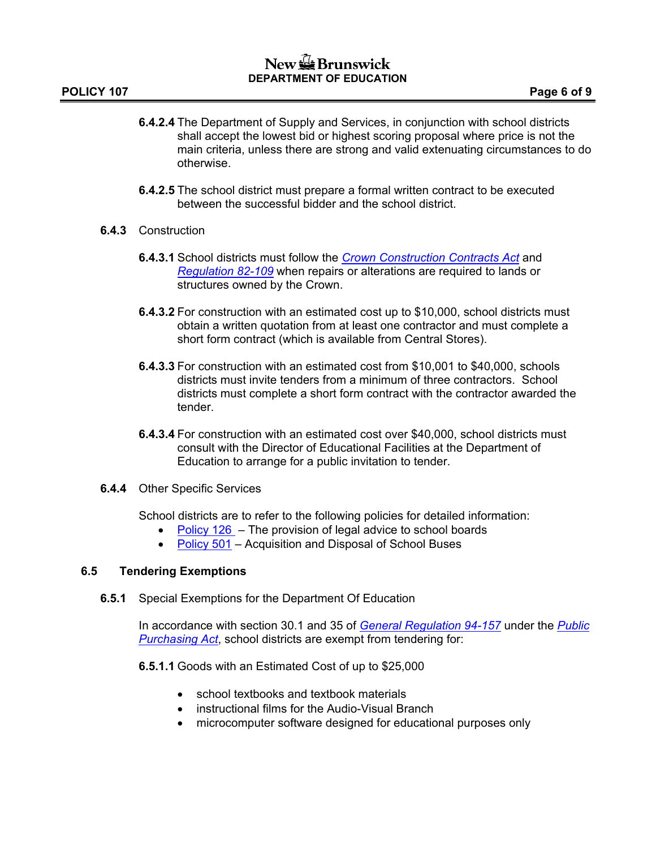- **6.4.2.4** The Department of Supply and Services, in conjunction with school districts shall accept the lowest bid or highest scoring proposal where price is not the main criteria, unless there are strong and valid extenuating circumstances to do otherwise.
- **6.4.2.5** The school district must prepare a formal written contract to be executed between the successful bidder and the school district.
- **6.4.3** Construction
	- **6.4.3.1** School districts must follow the *[Crown Construction Contracts Act](http://www.gnb.ca/justice/asrlste.htm)* and *[Regulation 82-109](http://www.gnb.ca/justice/asrlste.htm)* when repairs or alterations are required to lands or structures owned by the Crown.
	- **6.4.3.2** For construction with an estimated cost up to \$10,000, school districts must obtain a written quotation from at least one contractor and must complete a short form contract (which is available from Central Stores).
	- **6.4.3.3** For construction with an estimated cost from \$10,001 to \$40,000, schools districts must invite tenders from a minimum of three contractors. School districts must complete a short form contract with the contractor awarded the tender.
	- **6.4.3.4** For construction with an estimated cost over \$40,000, school districts must consult with the Director of Educational Facilities at the Department of Education to arrange for a public invitation to tender.
- **6.4.4** Other Specific Services

School districts are to refer to the following policies for detailed information:

- [Policy 126](126A.pdf)  The provision of legal advice to school boards
- [Policy 501](501A.pdf) Acquisition and Disposal of School Buses

# **6.5 Tendering Exemptions**

**6.5.1** Special Exemptions for the Department Of Education

In accordance with section 30.1 and 35 of *[General Regulation 94-157](http://www.gnb.ca/justice/asrlste.htm)* under the *[Public](http://www.gnb.ca/justice/asrlste.htm)  [Purchasing Act](http://www.gnb.ca/justice/asrlste.htm)*, school districts are exempt from tendering for:

**6.5.1.1** Goods with an Estimated Cost of up to \$25,000

- school textbooks and textbook materials
- instructional films for the Audio-Visual Branch
- microcomputer software designed for educational purposes only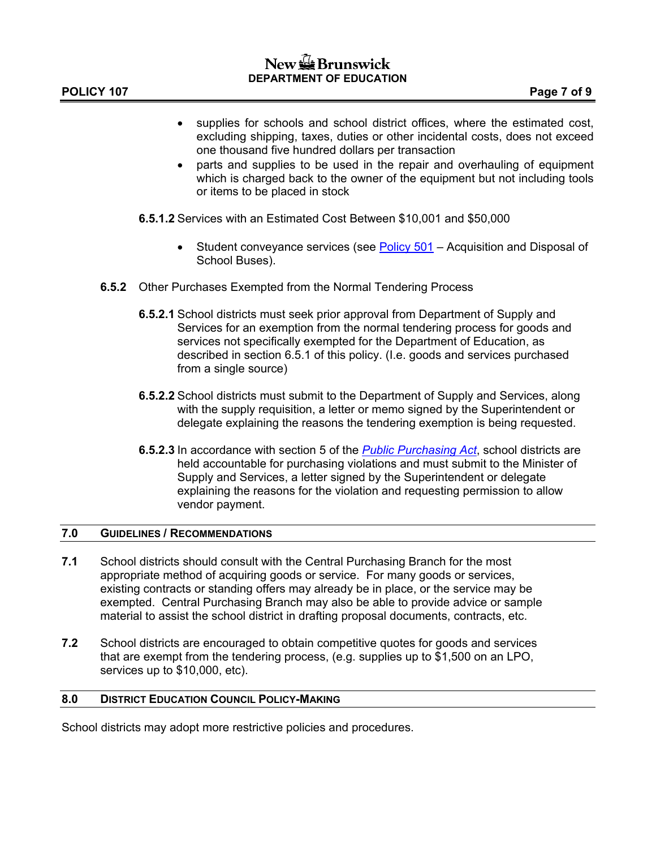- supplies for schools and school district offices, where the estimated cost, excluding shipping, taxes, duties or other incidental costs, does not exceed one thousand five hundred dollars per transaction
- parts and supplies to be used in the repair and overhauling of equipment which is charged back to the owner of the equipment but not including tools or items to be placed in stock
- **6.5.1.2** Services with an Estimated Cost Between \$10,001 and \$50,000
	- Student conveyance services (see [Policy 501](501A.pdf)  Acquisition and Disposal of School Buses).
- **6.5.2** Other Purchases Exempted from the Normal Tendering Process
	- **6.5.2.1** School districts must seek prior approval from Department of Supply and Services for an exemption from the normal tendering process for goods and services not specifically exempted for the Department of Education, as described in section 6.5.1 of this policy. (I.e. goods and services purchased from a single source)
	- **6.5.2.2** School districts must submit to the Department of Supply and Services, along with the supply requisition, a letter or memo signed by the Superintendent or delegate explaining the reasons the tendering exemption is being requested.
	- **6.5.2.3** In accordance with section 5 of the *[Public Purchasing Act](http://www.gnb.ca/justice/asrlste.htm)*, school districts are held accountable for purchasing violations and must submit to the Minister of Supply and Services, a letter signed by the Superintendent or delegate explaining the reasons for the violation and requesting permission to allow vendor payment.

#### **7.0 GUIDELINES / RECOMMENDATIONS**

- **7.1** School districts should consult with the Central Purchasing Branch for the most appropriate method of acquiring goods or service. For many goods or services, existing contracts or standing offers may already be in place, or the service may be exempted. Central Purchasing Branch may also be able to provide advice or sample material to assist the school district in drafting proposal documents, contracts, etc.
- **7.2** School districts are encouraged to obtain competitive quotes for goods and services that are exempt from the tendering process, (e.g. supplies up to \$1,500 on an LPO, services up to \$10,000, etc).

#### **8.0 DISTRICT EDUCATION COUNCIL POLICY-MAKING**

School districts may adopt more restrictive policies and procedures.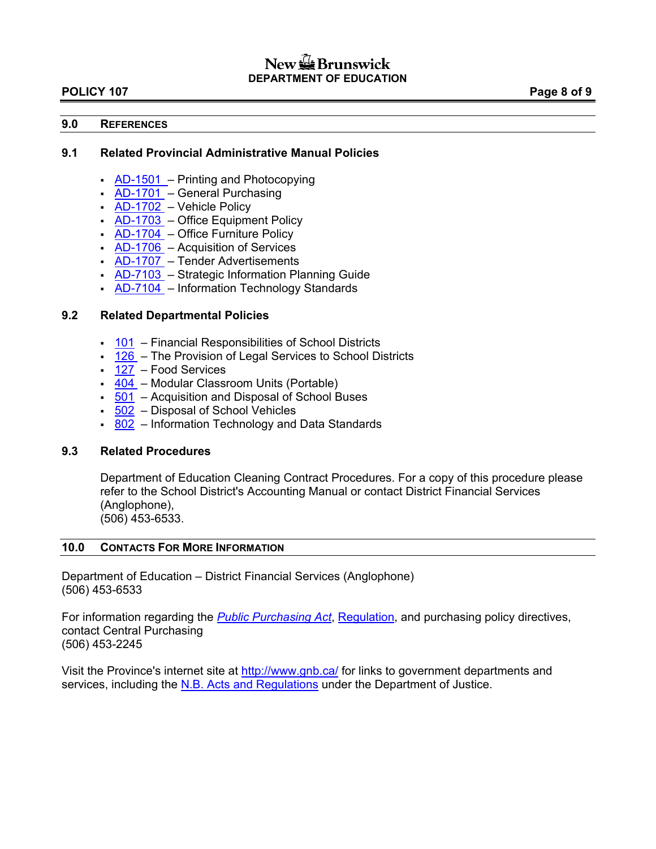#### **POLICY 107** POLICY 107

#### **9.0 REFERENCES**

#### **9.1 Related Provincial Administrative Manual Policies**

- $AD-1501$  Printing and Photocopying
- $AD-1701$  General Purchasing
- [AD-1702](http://intranet.gnb.ca/intellinet/adminman/) Vehicle Policy
- $AD-1703$  Office Equipment Policy
- [AD-1704](http://intranet.gnb.ca/intellinet/adminman/) Office Furniture Policy
- $AD-1706$  Acquisition of Services
- [AD-1707](http://intranet.gnb.ca/intellinet/adminman/) Tender Advertisements
- [AD-7103](http://intranet.gnb.ca/intellinet/adminman/)  Strategic Information Planning Guide
- [AD-7104](http://intranet.gnb.ca/intellinet/adminman/) Information Technology Standards

### **9.2 Related Departmental Policies**

- [101](101A.pdf) Financial Responsibilities of School Districts
- [126](126A.pdf) The Provision of Legal Services to School Districts
- [127](127AP.pdf) Food Services
- [404](404A.pdf) Modular Classroom Units (Portable)
- [501](501A.pdf) Acquisition and Disposal of School Buses
- $502$  Disposal of School Vehicles
- [802](802AP.pdf) Information Technology and Data Standards

#### **9.3 Related Procedures**

Department of Education Cleaning Contract Procedures. For a copy of this procedure please refer to the School District's Accounting Manual or contact District Financial Services (Anglophone), (506) 453-6533.

#### **10.0 CONTACTS FOR MORE INFORMATION**

Department of Education – District Financial Services (Anglophone) (506) 453-6533

For information regarding the *[Public Purchasing Act](http://www.gov.nb.ca/justice/asrlste.htm)*, [Regulation](http://www.gov.nb.ca/justice/asrlste.htm), and purchasing policy directives, contact Central Purchasing (506) 453-2245

Visit the Province's internet site at<http://www.gnb.ca/>for links to government departments and services, including the [N.B. Acts and Regulations](http://www.gnb.ca/justice/asrlste.htm) under the Department of Justice.